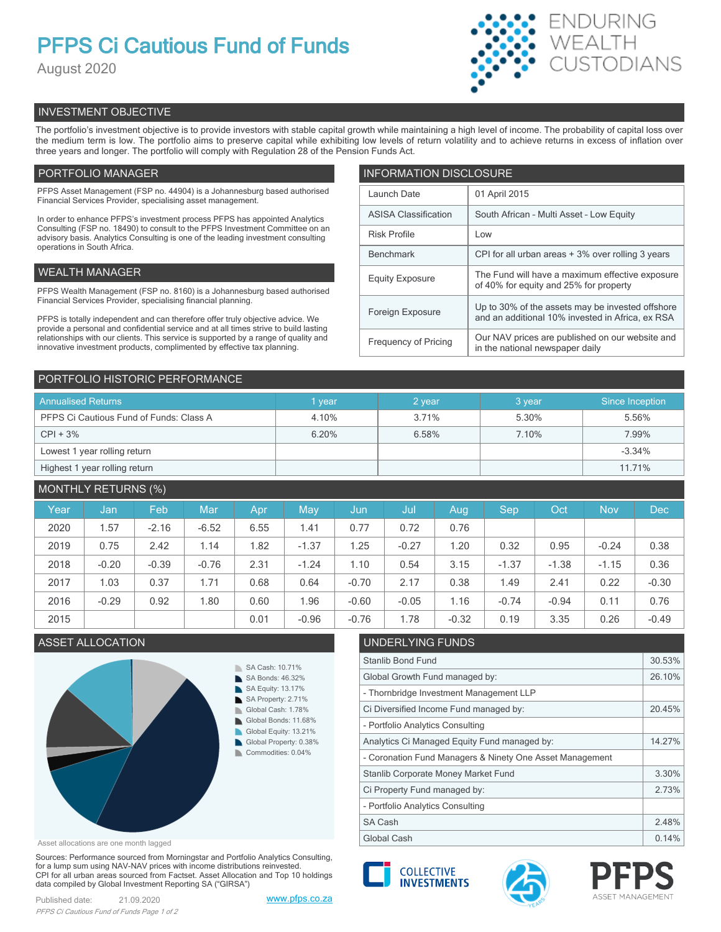# **PFPS Ci Cautious Fund of Funds**

August 2020



# INVESTMENT OBJECTIVE

The portfolio's investment objective is to provide investors with stable capital growth while maintaining a high level of income. The probability of capital loss over the medium term is low. The portfolio aims to preserve capital while exhibiting low levels of return volatility and to achieve returns in excess of inflation over three years and longer. The portfolio will comply with Regulation 28 of the Pension Funds Act.

# PORTFOLIO MANAGER

PFPS Asset Management (FSP no. 44904) is a Johannesburg based authorised Financial Services Provider, specialising asset management.

In order to enhance PFPS's investment process PFPS has appointed Analytics Consulting (FSP no. 18490) to consult to the PFPS Investment Committee on an advisory basis. Analytics Consulting is one of the leading investment consulting operations in South Africa.

# WEALTH MANAGER

PFPS Wealth Management (FSP no. 8160) is a Johannesburg based authorised Financial Services Provider, specialising financial planning.

PFPS is totally independent and can therefore offer truly objective advice. We provide a personal and confidential service and at all times strive to build lasting relationships with our clients. This service is supported by a range of quality and innovative investment products, complimented by effective tax planning.

| <b>INFORMATION DISCLOSURE</b> |                                                                                                      |  |  |  |
|-------------------------------|------------------------------------------------------------------------------------------------------|--|--|--|
| Launch Date                   | 01 April 2015                                                                                        |  |  |  |
| <b>ASISA Classification</b>   | South African - Multi Asset - Low Equity                                                             |  |  |  |
| <b>Risk Profile</b>           | Low                                                                                                  |  |  |  |
| <b>Benchmark</b>              | CPI for all urban areas + 3% over rolling 3 years                                                    |  |  |  |
| <b>Equity Exposure</b>        | The Fund will have a maximum effective exposure<br>of 40% for equity and 25% for property            |  |  |  |
| Foreign Exposure              | Up to 30% of the assets may be invested offshore<br>and an additional 10% invested in Africa, ex RSA |  |  |  |
| <b>Frequency of Pricing</b>   | Our NAV prices are published on our website and<br>in the national newspaper daily                   |  |  |  |

## PORTFOLIO HISTORIC PERFORMANCE

| <b>Annualised Returns</b>               | 1 year | 2 year | 3 year | Since Inception |
|-----------------------------------------|--------|--------|--------|-----------------|
| PFPS Ci Cautious Fund of Funds: Class A | 4.10%  | 3.71%  | 5.30%  | 5.56%           |
| $CPI + 3%$                              | 6.20%  | 6.58%  | 7.10%  | 7.99%           |
| Lowest 1 year rolling return            |        |        |        | $-3.34%$        |
| Highest 1 year rolling return           |        |        |        | 11.71%          |

# MONTHLY RETURNS (%)

| Year | Jan     | Feb     | <b>Mar</b> | Apr  | May        | IJun,   | Jul     | Aug     | Sep     | Oct     | <b>Nov</b> | <b>Dec</b> |
|------|---------|---------|------------|------|------------|---------|---------|---------|---------|---------|------------|------------|
| 2020 | 1.57    | $-2.16$ | $-6.52$    | 6.55 | 1.41       | 0.77    | 0.72    | 0.76    |         |         |            |            |
| 2019 | 0.75    | 2.42    | 1.14       | 1.82 | $-1.37$    | 1.25    | $-0.27$ | 1.20    | 0.32    | 0.95    | $-0.24$    | 0.38       |
| 2018 | $-0.20$ | $-0.39$ | $-0.76$    | 2.31 | $-1.24$    | 1.10    | 0.54    | 3.15    | $-1.37$ | $-1.38$ | $-1.15$    | 0.36       |
| 2017 | 1.03    | 0.37    | 1.71       | 0.68 | 0.64       | $-0.70$ | 2.17    | 0.38    | 1.49    | 2.41    | 0.22       | $-0.30$    |
| 2016 | $-0.29$ | 0.92    | 1.80       | 0.60 | <b>96.</b> | $-0.60$ | $-0.05$ | 1.16    | $-0.74$ | $-0.94$ | 0.11       | 0.76       |
| 2015 |         |         |            | 0.01 | $-0.96$    | $-0.76$ | 1.78    | $-0.32$ | 0.19    | 3.35    | 0.26       | $-0.49$    |

# ASSET ALLOCATION UNDERLYING FUNI



Asset allocations are one month lagged

Sources: Performance sourced from Morningstar and Portfolio Analytics Consulting, for a lump sum using NAV-NAV prices with income distributions reinvested. CPI for all urban areas sourced from Factset. Asset Allocation and Top 10 holdings data compiled by Global Investment Reporting SA ("GIRSA")

| UNDERLITING FUNDS                                        |        |
|----------------------------------------------------------|--------|
| <b>Stanlib Bond Fund</b>                                 | 30.53% |
| Global Growth Fund managed by:                           | 26.10% |
| - Thornbridge Investment Management LLP                  |        |
| Ci Diversified Income Fund managed by:                   | 20.45% |
| - Portfolio Analytics Consulting                         |        |
| Analytics Ci Managed Equity Fund managed by:             | 14.27% |
| - Coronation Fund Managers & Ninety One Asset Management |        |
| Stanlib Corporate Money Market Fund                      | 3.30%  |
| Ci Property Fund managed by:                             | 2.73%  |
| - Portfolio Analytics Consulting                         |        |
| <b>SA Cash</b>                                           | 2.48%  |
| Global Cash                                              | 0.14%  |